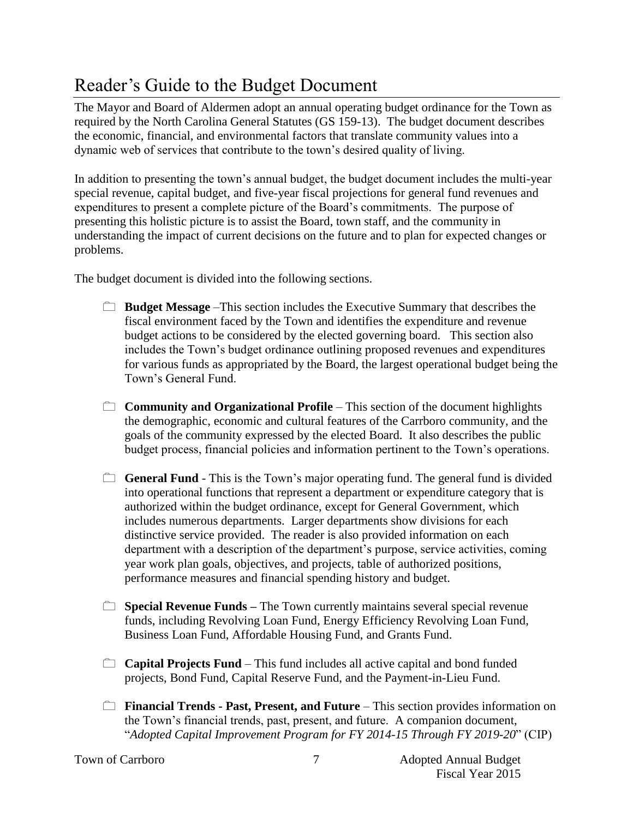## Reader's Guide to the Budget Document

The Mayor and Board of Aldermen adopt an annual operating budget ordinance for the Town as required by the North Carolina General Statutes (GS 159-13). The budget document describes the economic, financial, and environmental factors that translate community values into a dynamic web of services that contribute to the town's desired quality of living.

In addition to presenting the town's annual budget, the budget document includes the multi-year special revenue, capital budget, and five-year fiscal projections for general fund revenues and expenditures to present a complete picture of the Board's commitments. The purpose of presenting this holistic picture is to assist the Board, town staff, and the community in understanding the impact of current decisions on the future and to plan for expected changes or problems.

The budget document is divided into the following sections.

- **Budget Message** –This section includes the Executive Summary that describes the fiscal environment faced by the Town and identifies the expenditure and revenue budget actions to be considered by the elected governing board. This section also includes the Town's budget ordinance outlining proposed revenues and expenditures for various funds as appropriated by the Board, the largest operational budget being the Town's General Fund.
- **Community and Organizational Profile** This section of the document highlights the demographic, economic and cultural features of the Carrboro community, and the goals of the community expressed by the elected Board. It also describes the public budget process, financial policies and information pertinent to the Town's operations.
- **General Fund** This is the Town's major operating fund. The general fund is divided into operational functions that represent a department or expenditure category that is authorized within the budget ordinance, except for General Government, which includes numerous departments. Larger departments show divisions for each distinctive service provided. The reader is also provided information on each department with a description of the department's purpose, service activities, coming year work plan goals, objectives, and projects, table of authorized positions, performance measures and financial spending history and budget.
- **Special Revenue Funds** The Town currently maintains several special revenue funds, including Revolving Loan Fund, Energy Efficiency Revolving Loan Fund, Business Loan Fund, Affordable Housing Fund, and Grants Fund.
- **Capital Projects Fund** This fund includes all active capital and bond funded projects, Bond Fund, Capital Reserve Fund, and the Payment-in-Lieu Fund.
- **Financial Trends Past, Present, and Future** This section provides information on the Town's financial trends, past, present, and future. A companion document, "*Adopted Capital Improvement Program for FY 2014-15 Through FY 2019-20*" (CIP)

7